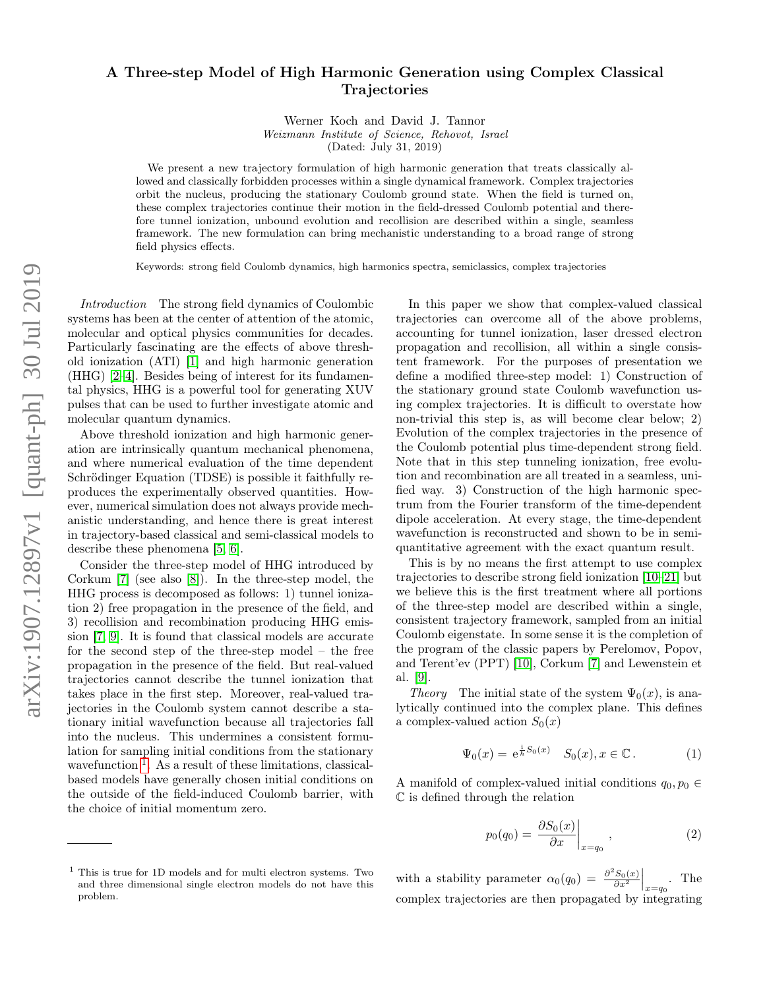## A Three-step Model of High Harmonic Generation using Complex Classical **Trajectories**

Werner Koch and David J. Tannor Weizmann Institute of Science, Rehovot, Israel (Dated: July 31, 2019)

We present a new trajectory formulation of high harmonic generation that treats classically allowed and classically forbidden processes within a single dynamical framework. Complex trajectories orbit the nucleus, producing the stationary Coulomb ground state. When the field is turned on, these complex trajectories continue their motion in the field-dressed Coulomb potential and therefore tunnel ionization, unbound evolution and recollision are described within a single, seamless framework. The new formulation can bring mechanistic understanding to a broad range of strong field physics effects.

Keywords: strong field Coulomb dynamics, high harmonics spectra, semiclassics, complex trajectories

Introduction The strong field dynamics of Coulombic systems has been at the center of attention of the atomic, molecular and optical physics communities for decades. Particularly fascinating are the effects of above threshold ionization (ATI) [\[1\]](#page-4-0) and high harmonic generation (HHG) [\[2](#page-4-1)[–4\]](#page-4-2). Besides being of interest for its fundamental physics, HHG is a powerful tool for generating XUV pulses that can be used to further investigate atomic and molecular quantum dynamics.

Above threshold ionization and high harmonic generation are intrinsically quantum mechanical phenomena, and where numerical evaluation of the time dependent Schrödinger Equation (TDSE) is possible it faithfully reproduces the experimentally observed quantities. However, numerical simulation does not always provide mechanistic understanding, and hence there is great interest in trajectory-based classical and semi-classical models to describe these phenomena [\[5,](#page-4-3) [6\]](#page-4-4).

Consider the three-step model of HHG introduced by Corkum [\[7\]](#page-4-5) (see also [\[8\]](#page-4-6)). In the three-step model, the HHG process is decomposed as follows: 1) tunnel ionization 2) free propagation in the presence of the field, and 3) recollision and recombination producing HHG emission [\[7,](#page-4-5) [9\]](#page-4-7). It is found that classical models are accurate for the second step of the three-step model – the free propagation in the presence of the field. But real-valued trajectories cannot describe the tunnel ionization that takes place in the first step. Moreover, real-valued trajectories in the Coulomb system cannot describe a stationary initial wavefunction because all trajectories fall into the nucleus. This undermines a consistent formulation for sampling initial conditions from the stationary wavefunction  $\overline{1}$  $\overline{1}$  $\overline{1}$ . As a result of these limitations, classicalbased models have generally chosen initial conditions on the outside of the field-induced Coulomb barrier, with the choice of initial momentum zero.

In this paper we show that complex-valued classical trajectories can overcome all of the above problems, accounting for tunnel ionization, laser dressed electron propagation and recollision, all within a single consistent framework. For the purposes of presentation we define a modified three-step model: 1) Construction of the stationary ground state Coulomb wavefunction using complex trajectories. It is difficult to overstate how non-trivial this step is, as will become clear below; 2) Evolution of the complex trajectories in the presence of the Coulomb potential plus time-dependent strong field. Note that in this step tunneling ionization, free evolution and recombination are all treated in a seamless, unified way. 3) Construction of the high harmonic spectrum from the Fourier transform of the time-dependent dipole acceleration. At every stage, the time-dependent wavefunction is reconstructed and shown to be in semiquantitative agreement with the exact quantum result.

This is by no means the first attempt to use complex trajectories to describe strong field ionization [\[10–](#page-4-8)[21\]](#page-5-0) but we believe this is the first treatment where all portions of the three-step model are described within a single, consistent trajectory framework, sampled from an initial Coulomb eigenstate. In some sense it is the completion of the program of the classic papers by Perelomov, Popov, and Terent'ev (PPT) [\[10\]](#page-4-8), Corkum [\[7\]](#page-4-5) and Lewenstein et al. [\[9\]](#page-4-7).

Theory The initial state of the system  $\Psi_0(x)$ , is analytically continued into the complex plane. This defines a complex-valued action  $S_0(x)$ 

$$
\Psi_0(x) = e^{\frac{i}{\hbar}S_0(x)} \quad S_0(x), x \in \mathbb{C} \,. \tag{1}
$$

A manifold of complex-valued initial conditions  $q_0, p_0 \in$ C is defined through the relation

<span id="page-0-1"></span>
$$
p_0(q_0) = \left. \frac{\partial S_0(x)}{\partial x} \right|_{x=q_0},\tag{2}
$$

with a stability parameter  $\alpha_0(q_0) = \frac{\partial^2 S_0(x)}{\partial x^2}\Big|_{x=q_0}$ . The complex trajectories are then propagated by integrating

<span id="page-0-0"></span> $^{\rm 1}$  This is true for 1D models and for multi electron systems. Two and three dimensional single electron models do not have this problem.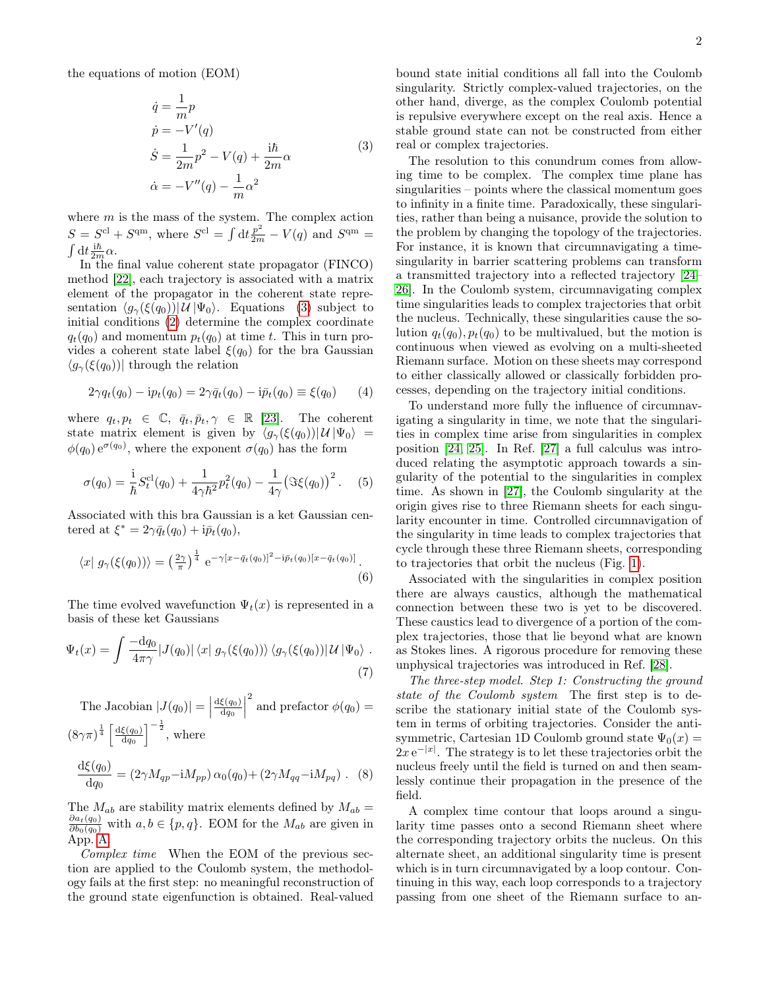the equations of motion (EOM)

$$
\dot{q} = \frac{1}{m}p
$$
\n
$$
\dot{p} = -V'(q)
$$
\n
$$
\dot{S} = \frac{1}{2m}p^2 - V(q) + \frac{i\hbar}{2m}\alpha
$$
\n
$$
\dot{\alpha} = -V''(q) - \frac{1}{m}\alpha^2
$$
\n(3)

where  $m$  is the mass of the system. The complex action  $S = S<sup>cl</sup> + S<sup>qm</sup>$ , where  $S<sup>cl</sup> = \int dt \frac{p^2}{2m} - V(q)$  and  $S<sup>qm</sup> =$  $\int dt \frac{i\hbar}{2m} \alpha$ .

In the final value coherent state propagator (FINCO) method [\[22\]](#page-5-1), each trajectory is associated with a matrix element of the propagator in the coherent state representation  $\langle g_{\gamma}(\xi(q_0)) | \mathcal{U} | \Psi_0 \rangle$ . Equations [\(3\)](#page-1-0) subject to initial conditions [\(2\)](#page-0-1) determine the complex coordinate  $q_t(q_0)$  and momentum  $p_t(q_0)$  at time t. This in turn provides a coherent state label  $\xi(q_0)$  for the bra Gaussian  $\langle g_{\gamma}(\xi(q_0))|$  through the relation

$$
2\gamma q_t(q_0) - i p_t(q_0) = 2\gamma \bar{q}_t(q_0) - i \bar{p}_t(q_0) \equiv \xi(q_0)
$$
 (4)

where  $q_t, p_t \in \mathbb{C}, \bar{q}_t, \bar{p}_t, \gamma \in \mathbb{R}$  [\[23\]](#page-5-2). The coherent state matrix element is given by  $\langle g_{\gamma}(\xi(q_0))| \mathcal{U} | \Psi_0 \rangle =$  $\phi(q_0) e^{\sigma(q_0)}$ , where the exponent  $\sigma(q_0)$  has the form

$$
\sigma(q_0) = \frac{1}{\hbar} S_t^{cl}(q_0) + \frac{1}{4\gamma \hbar^2} p_t^2(q_0) - \frac{1}{4\gamma} (\Im \xi(q_0))^2.
$$
 (5)

Associated with this bra Gaussian is a ket Gaussian centered at  $\xi^* = 2\gamma \bar{q}_t(q_0) + i\bar{p}_t(q_0),$ 

$$
\langle x | g_{\gamma}(\xi(q_0)) \rangle = \left(\frac{2\gamma}{\pi}\right)^{\frac{1}{4}} e^{-\gamma [x - \bar{q}_t(q_0)]^2 - i\bar{p}_t(q_0)[x - \bar{q}_t(q_0)]}.
$$
\n(6)

The time evolved wavefunction  $\Psi_t(x)$  is represented in a basis of these ket Gaussians

$$
\Psi_t(x) = \int \frac{-dq_0}{4\pi\gamma} |J(q_0)| \langle x| g_\gamma(\xi(q_0)) \rangle \langle g_\gamma(\xi(q_0)) | \mathcal{U} | \Psi_0 \rangle . \tag{7}
$$

The Jacobian 
$$
|J(q_0)| = \left|\frac{d\xi(q_0)}{dq_0}\right|^2
$$
 and prefactor  $\phi(q_0) = (8\gamma\pi)^{\frac{1}{4}} \left[\frac{d\xi(q_0)}{dq_0}\right]^{-\frac{1}{2}}$ , where  

$$
\frac{d\xi(q_0)}{dq_0} = (2\gamma M_{qp} - iM_{pp}) \alpha_0(q_0) + (2\gamma M_{qq} - iM_{pq})
$$
. (8)

The  $M_{ab}$  are stability matrix elements defined by  $M_{ab} = \frac{\partial a_t(q_0)}{\partial b_0(q_0)}$  with  $a, b \in \{p, q\}$ . EOM for the  $M_{ab}$  are given in App. [A.](#page-4-9)

Complex time When the EOM of the previous section are applied to the Coulomb system, the methodology fails at the first step: no meaningful reconstruction of the ground state eigenfunction is obtained. Real-valued

bound state initial conditions all fall into the Coulomb singularity. Strictly complex-valued trajectories, on the other hand, diverge, as the complex Coulomb potential is repulsive everywhere except on the real axis. Hence a stable ground state can not be constructed from either real or complex trajectories.

<span id="page-1-0"></span>The resolution to this conundrum comes from allowing time to be complex. The complex time plane has singularities – points where the classical momentum goes to infinity in a finite time. Paradoxically, these singularities, rather than being a nuisance, provide the solution to the problem by changing the topology of the trajectories. For instance, it is known that circumnavigating a timesingularity in barrier scattering problems can transform a transmitted trajectory into a reflected trajectory [\[24–](#page-5-3) [26\]](#page-5-4). In the Coulomb system, circumnavigating complex time singularities leads to complex trajectories that orbit the nucleus. Technically, these singularities cause the solution  $q_t(q_0), p_t(q_0)$  to be multivalued, but the motion is continuous when viewed as evolving on a multi-sheeted Riemann surface. Motion on these sheets may correspond to either classically allowed or classically forbidden processes, depending on the trajectory initial conditions.

To understand more fully the influence of circumnavigating a singularity in time, we note that the singularities in complex time arise from singularities in complex position [\[24,](#page-5-3) [25\]](#page-5-5). In Ref. [\[27\]](#page-5-6) a full calculus was introduced relating the asymptotic approach towards a singularity of the potential to the singularities in complex time. As shown in [\[27\]](#page-5-6), the Coulomb singularity at the origin gives rise to three Riemann sheets for each singularity encounter in time. Controlled circumnavigation of the singularity in time leads to complex trajectories that cycle through these three Riemann sheets, corresponding to trajectories that orbit the nucleus (Fig. [1\)](#page-2-0).

Associated with the singularities in complex position there are always caustics, although the mathematical connection between these two is yet to be discovered. These caustics lead to divergence of a portion of the complex trajectories, those that lie beyond what are known as Stokes lines. A rigorous procedure for removing these unphysical trajectories was introduced in Ref. [\[28\]](#page-5-7).

The three-step model. Step 1: Constructing the ground state of the Coulomb system The first step is to describe the stationary initial state of the Coulomb system in terms of orbiting trajectories. Consider the antisymmetric, Cartesian 1D Coulomb ground state  $\Psi_0(x) =$  $2x e^{-|x|}$ . The strategy is to let these trajectories orbit the nucleus freely until the field is turned on and then seamlessly continue their propagation in the presence of the field.

A complex time contour that loops around a singularity time passes onto a second Riemann sheet where the corresponding trajectory orbits the nucleus. On this alternate sheet, an additional singularity time is present which is in turn circumnavigated by a loop contour. Continuing in this way, each loop corresponds to a trajectory passing from one sheet of the Riemann surface to an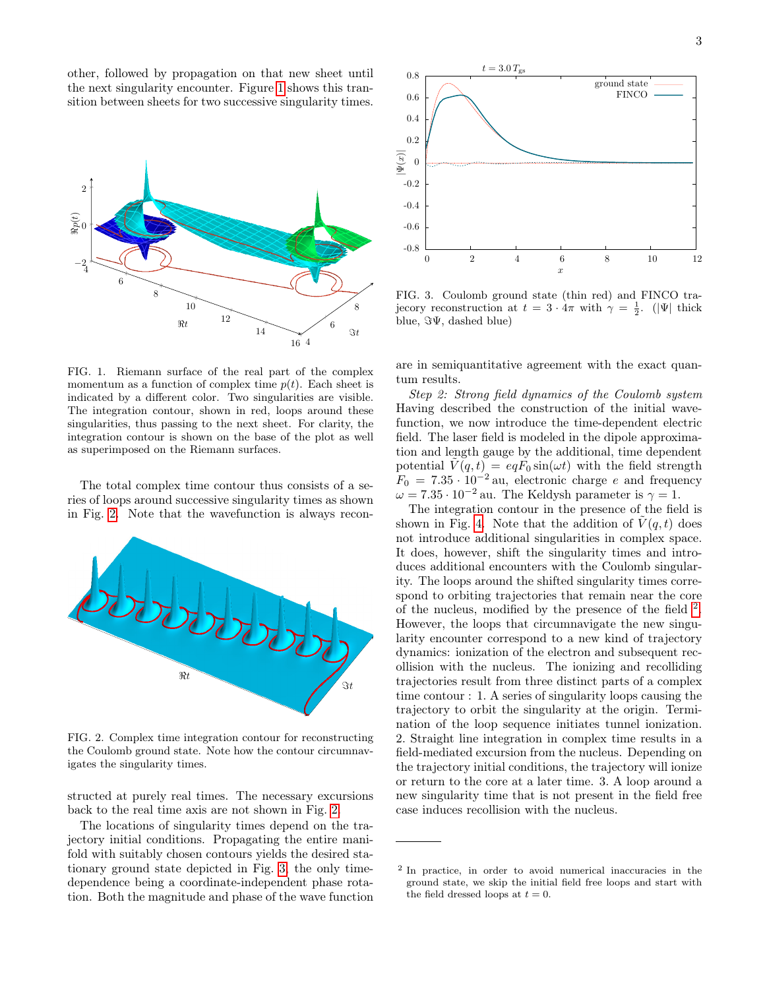other, followed by propagation on that new sheet until the next singularity encounter. Figure [1](#page-2-0) shows this transition between sheets for two successive singularity times.



<span id="page-2-0"></span>FIG. 1. Riemann surface of the real part of the complex momentum as a function of complex time  $p(t)$ . Each sheet is indicated by a different color. Two singularities are visible. The integration contour, shown in red, loops around these singularities, thus passing to the next sheet. For clarity, the integration contour is shown on the base of the plot as well as superimposed on the Riemann surfaces.

The total complex time contour thus consists of a series of loops around successive singularity times as shown in Fig. [2.](#page-2-1) Note that the wavefunction is always recon-



<span id="page-2-1"></span>FIG. 2. Complex time integration contour for reconstructing the Coulomb ground state. Note how the contour circumnavigates the singularity times.

structed at purely real times. The necessary excursions back to the real time axis are not shown in Fig. [2.](#page-2-1)

The locations of singularity times depend on the trajectory initial conditions. Propagating the entire manifold with suitably chosen contours yields the desired stationary ground state depicted in Fig. [3,](#page-2-2) the only timedependence being a coordinate-independent phase rotation. Both the magnitude and phase of the wave function



<span id="page-2-2"></span>FIG. 3. Coulomb ground state (thin red) and FINCO trajecory reconstruction at  $t = 3 \cdot 4\pi$  with  $\gamma = \frac{1}{2}$ . (|Ψ| thick blue,  $\Im\Psi$ , dashed blue)

are in semiquantitative agreement with the exact quantum results.

Step 2: Strong field dynamics of the Coulomb system Having described the construction of the initial wavefunction, we now introduce the time-dependent electric field. The laser field is modeled in the dipole approximation and length gauge by the additional, time dependent potential  $\tilde{V}(q, t) = eqF_0 \sin(\omega t)$  with the field strength  $F_0 = 7.35 \cdot 10^{-2}$  au, electronic charge e and frequency  $\omega = 7.35 \cdot 10^{-2}$  au. The Keldysh parameter is  $\gamma = 1$ .

The integration contour in the presence of the field is shown in Fig. [4.](#page-3-0) Note that the addition of  $V(q, t)$  does not introduce additional singularities in complex space. It does, however, shift the singularity times and introduces additional encounters with the Coulomb singularity. The loops around the shifted singularity times correspond to orbiting trajectories that remain near the core of the nucleus, modified by the presence of the field  $^2$  $^2$ . However, the loops that circumnavigate the new singularity encounter correspond to a new kind of trajectory dynamics: ionization of the electron and subsequent recollision with the nucleus. The ionizing and recolliding trajectories result from three distinct parts of a complex time contour : 1. A series of singularity loops causing the trajectory to orbit the singularity at the origin. Termination of the loop sequence initiates tunnel ionization. 2. Straight line integration in complex time results in a field-mediated excursion from the nucleus. Depending on the trajectory initial conditions, the trajectory will ionize or return to the core at a later time. 3. A loop around a new singularity time that is not present in the field free case induces recollision with the nucleus.

<span id="page-2-3"></span><sup>2</sup> In practice, in order to avoid numerical inaccuracies in the ground state, we skip the initial field free loops and start with the field dressed loops at  $t = 0$ .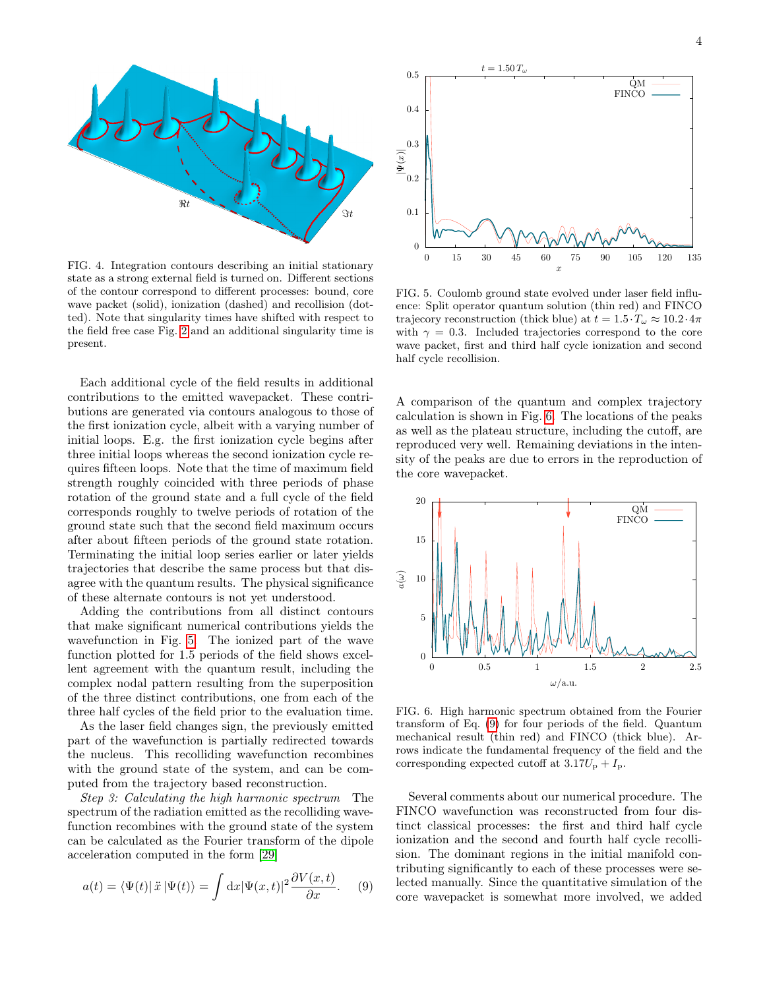

<span id="page-3-0"></span>FIG. 4. Integration contours describing an initial stationary state as a strong external field is turned on. Different sections of the contour correspond to different processes: bound, core wave packet (solid), ionization (dashed) and recollision (dotted). Note that singularity times have shifted with respect to the field free case Fig. [2](#page-2-1) and an additional singularity time is present.

Each additional cycle of the field results in additional contributions to the emitted wavepacket. These contributions are generated via contours analogous to those of the first ionization cycle, albeit with a varying number of initial loops. E.g. the first ionization cycle begins after three initial loops whereas the second ionization cycle requires fifteen loops. Note that the time of maximum field strength roughly coincided with three periods of phase rotation of the ground state and a full cycle of the field corresponds roughly to twelve periods of rotation of the ground state such that the second field maximum occurs after about fifteen periods of the ground state rotation. Terminating the initial loop series earlier or later yields trajectories that describe the same process but that disagree with the quantum results. The physical significance of these alternate contours is not yet understood.

Adding the contributions from all distinct contours that make significant numerical contributions yields the wavefunction in Fig. [5.](#page-3-1) The ionized part of the wave function plotted for 1.5 periods of the field shows excellent agreement with the quantum result, including the complex nodal pattern resulting from the superposition of the three distinct contributions, one from each of the three half cycles of the field prior to the evaluation time.

As the laser field changes sign, the previously emitted part of the wavefunction is partially redirected towards the nucleus. This recolliding wavefunction recombines with the ground state of the system, and can be computed from the trajectory based reconstruction.

Step 3: Calculating the high harmonic spectrum The spectrum of the radiation emitted as the recolliding wavefunction recombines with the ground state of the system can be calculated as the Fourier transform of the dipole acceleration computed in the form [\[29\]](#page-5-8)

$$
a(t) = \langle \Psi(t) | \ddot{x} | \Psi(t) \rangle = \int dx | \Psi(x, t) |^2 \frac{\partial V(x, t)}{\partial x}.
$$
 (9)



<span id="page-3-1"></span>FIG. 5. Coulomb ground state evolved under laser field influence: Split operator quantum solution (thin red) and FINCO trajecory reconstruction (thick blue) at  $t = 1.5 \cdot T_{\omega} \approx 10.2 \cdot 4\pi$ with  $\gamma = 0.3$ . Included trajectories correspond to the core wave packet, first and third half cycle ionization and second half cycle recollision.

A comparison of the quantum and complex trajectory calculation is shown in Fig. [6.](#page-3-2) The locations of the peaks as well as the plateau structure, including the cutoff, are reproduced very well. Remaining deviations in the intensity of the peaks are due to errors in the reproduction of the core wavepacket.



<span id="page-3-2"></span>FIG. 6. High harmonic spectrum obtained from the Fourier transform of Eq. [\(9\)](#page-3-3) for four periods of the field. Quantum mechanical result (thin red) and FINCO (thick blue). Arrows indicate the fundamental frequency of the field and the corresponding expected cutoff at  $3.17U_p + I_p$ .

<span id="page-3-3"></span>Several comments about our numerical procedure. The FINCO wavefunction was reconstructed from four distinct classical processes: the first and third half cycle ionization and the second and fourth half cycle recollision. The dominant regions in the initial manifold contributing significantly to each of these processes were selected manually. Since the quantitative simulation of the core wavepacket is somewhat more involved, we added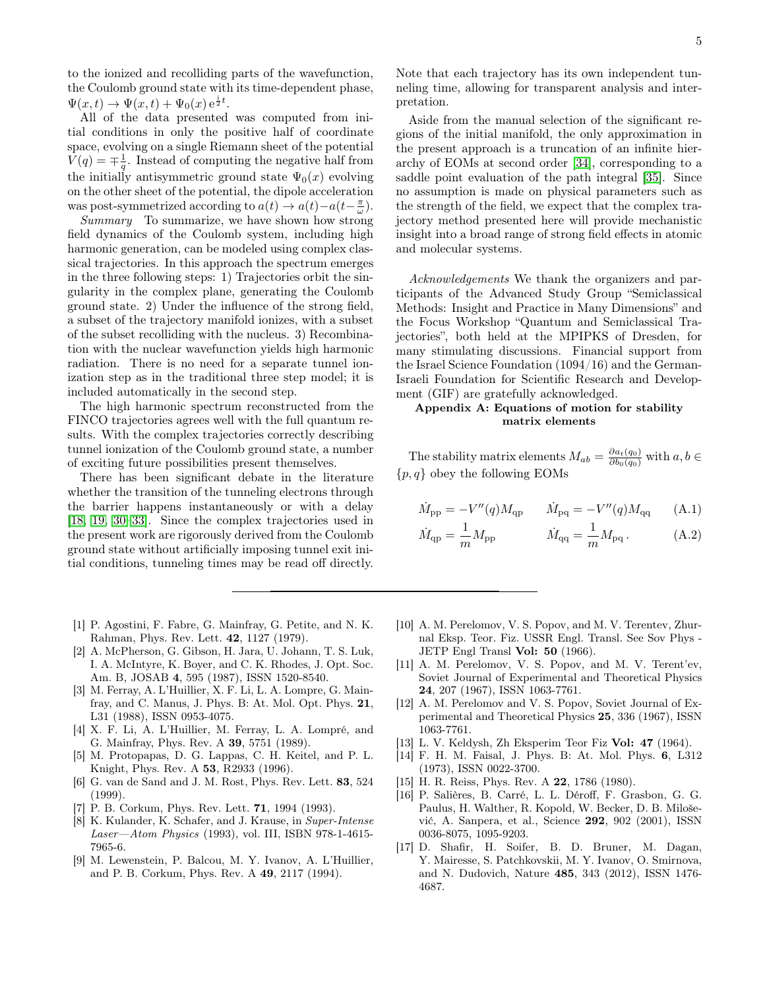to the ionized and recolliding parts of the wavefunction, the Coulomb ground state with its time-dependent phase,  $\Psi(x,t) \to \Psi(x,t) + \Psi_0(x) e^{\frac{i}{2}t}.$ 

All of the data presented was computed from initial conditions in only the positive half of coordinate space, evolving on a single Riemann sheet of the potential  $V(q) = \pm \frac{1}{q}$ . Instead of computing the negative half from the initially antisymmetric ground state  $\Psi_0(x)$  evolving on the other sheet of the potential, the dipole acceleration was post-symmetrized according to  $a(t) \to a(t) - a(t - \frac{\pi}{\omega})$ .

Summary To summarize, we have shown how strong field dynamics of the Coulomb system, including high harmonic generation, can be modeled using complex classical trajectories. In this approach the spectrum emerges in the three following steps: 1) Trajectories orbit the singularity in the complex plane, generating the Coulomb ground state. 2) Under the influence of the strong field, a subset of the trajectory manifold ionizes, with a subset of the subset recolliding with the nucleus. 3) Recombination with the nuclear wavefunction yields high harmonic radiation. There is no need for a separate tunnel ionization step as in the traditional three step model; it is included automatically in the second step.

The high harmonic spectrum reconstructed from the FINCO trajectories agrees well with the full quantum results. With the complex trajectories correctly describing tunnel ionization of the Coulomb ground state, a number of exciting future possibilities present themselves.

There has been significant debate in the literature whether the transition of the tunneling electrons through the barrier happens instantaneously or with a delay [\[18,](#page-5-9) [19,](#page-5-10) [30–](#page-5-11)[33\]](#page-5-12). Since the complex trajectories used in the present work are rigorously derived from the Coulomb ground state without artificially imposing tunnel exit initial conditions, tunneling times may be read off directly.

- <span id="page-4-0"></span>[1] P. Agostini, F. Fabre, G. Mainfray, G. Petite, and N. K. Rahman, Phys. Rev. Lett. 42, 1127 (1979).
- <span id="page-4-1"></span>[2] A. McPherson, G. Gibson, H. Jara, U. Johann, T. S. Luk, I. A. McIntyre, K. Boyer, and C. K. Rhodes, J. Opt. Soc. Am. B, JOSAB 4, 595 (1987), ISSN 1520-8540.
- [3] M. Ferray, A. L'Huillier, X. F. Li, L. A. Lompre, G. Mainfray, and C. Manus, J. Phys. B: At. Mol. Opt. Phys. 21, L31 (1988), ISSN 0953-4075.
- <span id="page-4-2"></span>[4] X. F. Li, A. L'Huillier, M. Ferray, L. A. Lompré, and G. Mainfray, Phys. Rev. A 39, 5751 (1989).
- <span id="page-4-3"></span>[5] M. Protopapas, D. G. Lappas, C. H. Keitel, and P. L. Knight, Phys. Rev. A 53, R2933 (1996).
- <span id="page-4-4"></span>[6] G. van de Sand and J. M. Rost, Phys. Rev. Lett. 83, 524 (1999).
- <span id="page-4-5"></span>[7] P. B. Corkum, Phys. Rev. Lett. 71, 1994 (1993).
- <span id="page-4-6"></span>[8] K. Kulander, K. Schafer, and J. Krause, in Super-Intense Laser—Atom Physics (1993), vol. III, ISBN 978-1-4615- 7965-6.
- <span id="page-4-7"></span>[9] M. Lewenstein, P. Balcou, M. Y. Ivanov, A. L'Huillier, and P. B. Corkum, Phys. Rev. A 49, 2117 (1994).

Note that each trajectory has its own independent tunneling time, allowing for transparent analysis and interpretation.

Aside from the manual selection of the significant regions of the initial manifold, the only approximation in the present approach is a truncation of an infinite hierarchy of EOMs at second order [\[34\]](#page-5-13), corresponding to a saddle point evaluation of the path integral [\[35\]](#page-5-14). Since no assumption is made on physical parameters such as the strength of the field, we expect that the complex trajectory method presented here will provide mechanistic insight into a broad range of strong field effects in atomic and molecular systems.

Acknowledgements We thank the organizers and participants of the Advanced Study Group "Semiclassical Methods: Insight and Practice in Many Dimensions" and the Focus Workshop "Quantum and Semiclassical Trajectories", both held at the MPIPKS of Dresden, for many stimulating discussions. Financial support from the Israel Science Foundation (1094/16) and the German-Israeli Foundation for Scientific Research and Development (GIF) are gratefully acknowledged.

## <span id="page-4-9"></span>Appendix A: Equations of motion for stability matrix elements

The stability matrix elements  $M_{ab} = \frac{\partial a_t(q_0)}{\partial b_0(q_0)}$  with  $a, b \in$  $\{p, q\}$  obey the following EOMs

M˙

$$
\dot{M}_{\rm pp} = -V''(q)M_{\rm qp} \qquad \dot{M}_{\rm pq} = -V''(q)M_{\rm qq} \qquad \text{(A.1)}
$$

$$
\dot{M}_{\rm qp} = \frac{1}{m} M_{\rm pp} \qquad \dot{M}_{\rm qq} = \frac{1}{m} M_{\rm pq} \,. \tag{A.2}
$$

- <span id="page-4-8"></span>[10] A. M. Perelomov, V. S. Popov, and M. V. Terentev, Zhurnal Eksp. Teor. Fiz. USSR Engl. Transl. See Sov Phys - JETP Engl Transl Vol: 50 (1966).
- [11] A. M. Perelomov, V. S. Popov, and M. V. Terent'ev, Soviet Journal of Experimental and Theoretical Physics 24, 207 (1967), ISSN 1063-7761.
- [12] A. M. Perelomov and V. S. Popov, Soviet Journal of Experimental and Theoretical Physics 25, 336 (1967), ISSN 1063-7761.
- [13] L. V. Keldysh, Zh Eksperim Teor Fiz Vol: 47 (1964).
- [14] F. H. M. Faisal, J. Phys. B: At. Mol. Phys. 6, L312 (1973), ISSN 0022-3700.
- [15] H. R. Reiss, Phys. Rev. A 22, 1786 (1980).
- [16] P. Salières, B. Carré, L. L. Déroff, F. Grasbon, G. G. Paulus, H. Walther, R. Kopold, W. Becker, D. B. Milošević, A. Sanpera, et al., Science 292, 902 (2001), ISSN 0036-8075, 1095-9203.
- [17] D. Shafir, H. Soifer, B. D. Bruner, M. Dagan, Y. Mairesse, S. Patchkovskii, M. Y. Ivanov, O. Smirnova, and N. Dudovich, Nature 485, 343 (2012), ISSN 1476- 4687.